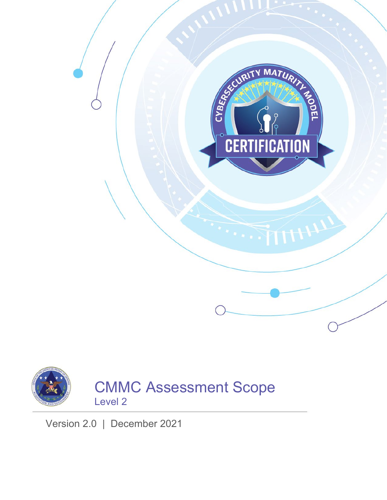



CMMC Assessment Scope Level 2

Version 2.0 | December 2021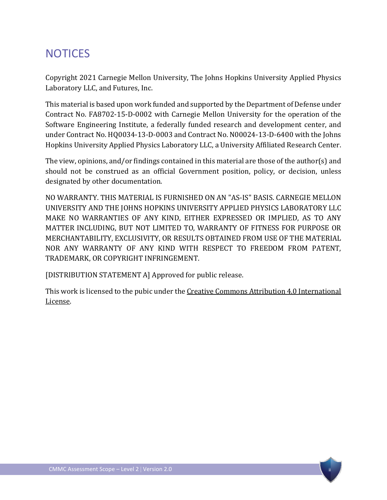# **NOTICES**

Copyright 2021 Carnegie Mellon University, The Johns Hopkins University Applied Physics Laboratory LLC, and Futures, Inc.

This material is based upon work funded and supported by the Department of Defense under Contract No. FA8702-15-D-0002 with Carnegie Mellon University for the operation of the Software Engineering Institute, a federally funded research and development center, and under Contract No. HQ0034-13-D-0003 and Contract No. N00024-13-D-6400 with the Johns Hopkins University Applied Physics Laboratory LLC, a University Affiliated Research Center.

The view, opinions, and/or findings contained in this material are those of the author(s) and should not be construed as an official Government position, policy, or decision, unless designated by other documentation.

NO WARRANTY. THIS MATERIAL IS FURNISHED ON AN "AS-IS" BASIS. CARNEGIE MELLON UNIVERSITY AND THE JOHNS HOPKINS UNIVERSITY APPLIED PHYSICS LABORATORY LLC MAKE NO WARRANTIES OF ANY KIND, EITHER EXPRESSED OR IMPLIED, AS TO ANY MATTER INCLUDING, BUT NOT LIMITED TO, WARRANTY OF FITNESS FOR PURPOSE OR MERCHANTABILITY, EXCLUSIVITY, OR RESULTS OBTAINED FROM USE OF THE MATERIAL NOR ANY WARRANTY OF ANY KIND WITH RESPECT TO FREEDOM FROM PATENT, TRADEMARK, OR COPYRIGHT INFRINGEMENT.

[DISTRIBUTION STATEMENT A] Approved for public release.

This work is licensed to the pubic under th[e Creative Commons Attribution 4.0 International](https://creativecommons.org/licenses/by/4.0/)  [License.](https://creativecommons.org/licenses/by/4.0/)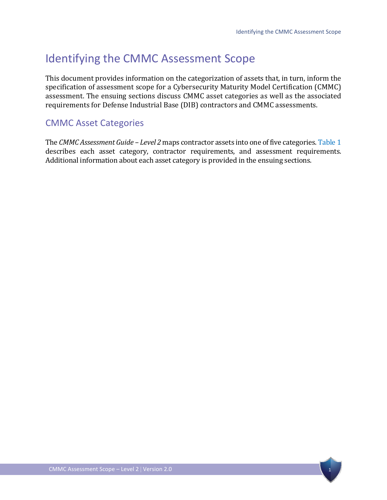# Identifying the CMMC Assessment Scope

This document provides information on the categorization of assets that, in turn, inform the specification of assessment scope for a Cybersecurity Maturity Model Certification (CMMC) assessment. The ensuing sections discuss CMMC asset categories as well as the associated requirements for Defense Industrial Base (DIB) contractors and CMMC assessments.

## <span id="page-2-0"></span>CMMC Asset Categories

The *CMMC Assessment Guide – Level 2* maps contractor assets into one of five categories[. Table 1](#page-3-0) describes each asset category, contractor requirements, and assessment requirements. Additional information about each asset category is provided in the ensuing sections.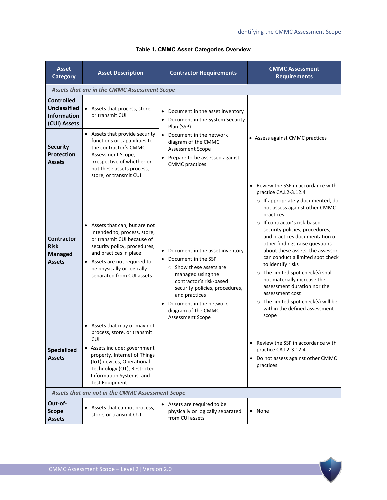<span id="page-3-0"></span>

| <b>Asset</b><br><b>Category</b>                                                | <b>Asset Description</b>                                                                                                                                                                                                                                    | <b>Contractor Requirements</b>                                                                                                                                                                                                                                     | <b>CMMC Assessment</b><br><b>Requirements</b>                                                                                                                                                                                                                                                                                                                                                                                                                                                                                                                                                         |  |
|--------------------------------------------------------------------------------|-------------------------------------------------------------------------------------------------------------------------------------------------------------------------------------------------------------------------------------------------------------|--------------------------------------------------------------------------------------------------------------------------------------------------------------------------------------------------------------------------------------------------------------------|-------------------------------------------------------------------------------------------------------------------------------------------------------------------------------------------------------------------------------------------------------------------------------------------------------------------------------------------------------------------------------------------------------------------------------------------------------------------------------------------------------------------------------------------------------------------------------------------------------|--|
| Assets that are in the CMMC Assessment Scope                                   |                                                                                                                                                                                                                                                             |                                                                                                                                                                                                                                                                    |                                                                                                                                                                                                                                                                                                                                                                                                                                                                                                                                                                                                       |  |
| <b>Controlled</b><br><b>Unclassified</b><br><b>Information</b><br>(CUI) Assets | • Assets that process, store,<br>or transmit CUI                                                                                                                                                                                                            | Document in the asset inventory<br>• Document in the System Security<br>Plan (SSP)<br>• Document in the network<br>diagram of the CMMC<br><b>Assessment Scope</b><br>• Prepare to be assessed against<br><b>CMMC</b> practices                                     | • Assess against CMMC practices                                                                                                                                                                                                                                                                                                                                                                                                                                                                                                                                                                       |  |
| <b>Security</b><br><b>Protection</b><br><b>Assets</b>                          | • Assets that provide security<br>functions or capabilities to<br>the contractor's CMMC<br>Assessment Scope,<br>irrespective of whether or<br>not these assets process,<br>store, or transmit CUI                                                           |                                                                                                                                                                                                                                                                    |                                                                                                                                                                                                                                                                                                                                                                                                                                                                                                                                                                                                       |  |
| <b>Contractor</b><br><b>Risk</b><br><b>Managed</b><br><b>Assets</b>            | • Assets that can, but are not<br>intended to, process, store,<br>or transmit CUI because of<br>security policy, procedures,<br>and practices in place<br>• Assets are not required to<br>be physically or logically<br>separated from CUI assets           | • Document in the asset inventory<br>Document in the SSP<br>$\circ$ Show these assets are<br>managed using the<br>contractor's risk-based<br>security policies, procedures,<br>and practices<br>Document in the network<br>diagram of the CMMC<br>Assessment Scope | • Review the SSP in accordance with<br>practice CA.L2-3.12.4<br>o If appropriately documented, do<br>not assess against other CMMC<br>practices<br>o If contractor's risk-based<br>security policies, procedures,<br>and practices documentation or<br>other findings raise questions<br>about these assets, the assessor<br>can conduct a limited spot check<br>to identify risks<br>$\circ$ The limited spot check(s) shall<br>not materially increase the<br>assessment duration nor the<br>assessment cost<br>$\circ$ The limited spot check(s) will be<br>within the defined assessment<br>scope |  |
| <b>Specialized</b><br><b>Assets</b>                                            | • Assets that may or may not<br>process, store, or transmit<br><b>CUI</b><br>• Assets include: government<br>property, Internet of Things<br>(IoT) devices, Operational<br>Technology (OT), Restricted<br>Information Systems, and<br><b>Test Equipment</b> |                                                                                                                                                                                                                                                                    | • Review the SSP in accordance with<br>practice CA.L2-3.12.4<br>• Do not assess against other CMMC<br>practices                                                                                                                                                                                                                                                                                                                                                                                                                                                                                       |  |
| Assets that are not in the CMMC Assessment Scope                               |                                                                                                                                                                                                                                                             |                                                                                                                                                                                                                                                                    |                                                                                                                                                                                                                                                                                                                                                                                                                                                                                                                                                                                                       |  |
| Out-of-<br><b>Scope</b><br><b>Assets</b>                                       | • Assets that cannot process,<br>store, or transmit CUI                                                                                                                                                                                                     | • Assets are required to be<br>physically or logically separated<br>from CUI assets                                                                                                                                                                                | • None                                                                                                                                                                                                                                                                                                                                                                                                                                                                                                                                                                                                |  |

#### **Table 1. CMMC Asset Categories Overview**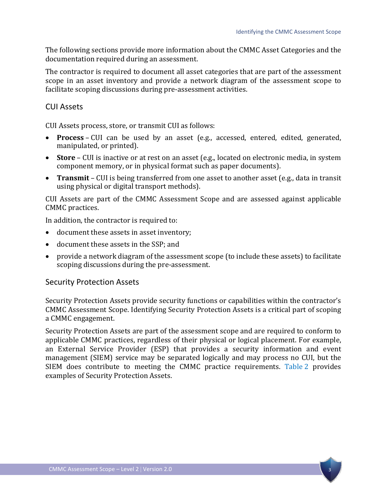The following sections provide more information about the CMMC Asset Categories and the documentation required during an assessment.

The contractor is required to document all asset categories that are part of the assessment scope in an asset inventory and provide a network diagram of the assessment scope to facilitate scoping discussions during pre-assessment activities.

#### CUI Assets

CUI Assets process, store, or transmit CUI as follows:

- **Process** CUI can be used by an asset (e.g., accessed, entered, edited, generated, manipulated, or printed).
- **Store** CUI is inactive or at rest on an asset (e.g., located on electronic media, in system component memory, or in physical format such as paper documents).
- **Transmit** CUI is being transferred from one asset to another asset (e.g., data in transit using physical or digital transport methods).

CUI Assets are part of the CMMC Assessment Scope and are assessed against applicable CMMC practices.

In addition, the contractor is required to:

- document these assets in asset inventory;
- document these assets in the SSP; and
- provide a network diagram of the assessment scope (to include these assets) to facilitate scoping discussions during the pre-assessment.

#### Security Protection Assets

Security Protection Assets provide security functions or capabilities within the contractor's CMMC Assessment Scope. Identifying Security Protection Assets is a critical part of scoping a CMMC engagement.

Security Protection Assets are part of the assessment scope and are required to conform to applicable CMMC practices, regardless of their physical or logical placement. For example, an External Service Provider (ESP) that provides a security information and event management (SIEM) service may be separated logically and may process no CUI, but the SIEM does contribute to meeting the CMMC practice requirements. [Table](#page-5-0) 2 provides examples of Security Protection Assets.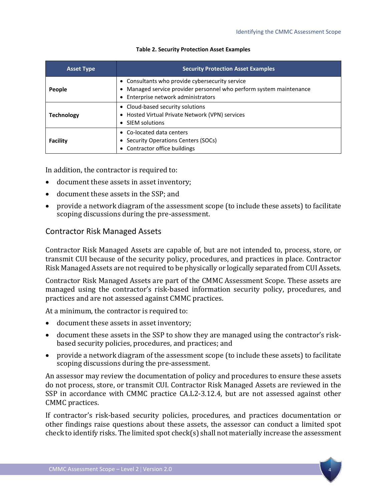<span id="page-5-0"></span>

| <b>Asset Type</b> | <b>Security Protection Asset Examples</b>                                                                                                                   |  |
|-------------------|-------------------------------------------------------------------------------------------------------------------------------------------------------------|--|
| People            | • Consultants who provide cybersecurity service<br>Managed service provider personnel who perform system maintenance<br>• Enterprise network administrators |  |
| <b>Technology</b> | • Cloud-based security solutions<br>• Hosted Virtual Private Network (VPN) services<br>• SIEM solutions                                                     |  |
| <b>Facility</b>   | • Co-located data centers<br>• Security Operations Centers (SOCs)<br>• Contractor office buildings                                                          |  |

#### **Table 2. Security Protection Asset Examples**

In addition, the contractor is required to:

- document these assets in asset inventory;
- document these assets in the SSP; and
- provide a network diagram of the assessment scope (to include these assets) to facilitate scoping discussions during the pre-assessment.

#### Contractor Risk Managed Assets

Contractor Risk Managed Assets are capable of, but are not intended to, process, store, or transmit CUI because of the security policy, procedures, and practices in place. Contractor Risk Managed Assets are not required to be physically or logically separated from CUI Assets.

Contractor Risk Managed Assets are part of the CMMC Assessment Scope. These assets are managed using the contractor's risk-based information security policy, procedures, and practices and are not assessed against CMMC practices.

At a minimum, the contractor is required to:

- document these assets in asset inventory;
- document these assets in the SSP to show they are managed using the contractor's riskbased security policies, procedures, and practices; and
- provide a network diagram of the assessment scope (to include these assets) to facilitate scoping discussions during the pre-assessment.

An assessor may review the documentation of policy and procedures to ensure these assets do not process, store, or transmit CUI. Contractor Risk Managed Assets are reviewed in the SSP in accordance with CMMC practice CA.L2-3.12.4, but are not assessed against other CMMC practices.

If contractor's risk-based security policies, procedures, and practices documentation or other findings raise questions about these assets, the assessor can conduct a limited spot check to identify risks. The limited spot check(s) shall not materially increase the assessment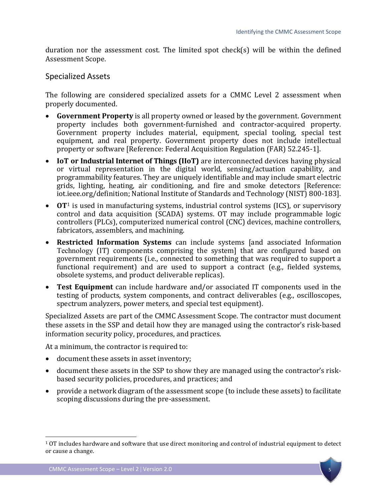duration nor the assessment cost. The limited spot check(s) will be within the defined Assessment Scope.

#### Specialized Assets

The following are considered specialized assets for a CMMC Level 2 assessment when properly documented.

- **Government Property** is all property owned or leased by the government. Government property includes both government-furnished and contractor-acquired property. Government property includes material, equipment, special tooling, special test equipment, and real property. Government property does not include intellectual property or software [Reference: Federal Acquisition Regulation (FAR) 52.245-1].
- **IoT or Industrial Internet of Things (IIoT)** are interconnected devices having physical or virtual representation in the digital world, sensing/actuation capability, and programmability features. They are uniquely identifiable and may include smart electric grids, lighting, heating, air conditioning, and fire and smoke detectors [Reference: iot.ieee.org/definition; National Institute of Standards and Technology (NIST) 800-183].
- **OT**[1](#page-6-0) is used in manufacturing systems, industrial control systems (ICS), or supervisory control and data acquisition (SCADA) systems. OT may include programmable logic controllers (PLCs), computerized numerical control (CNC) devices, machine controllers, fabricators, assemblers, and machining.
- **Restricted Information Systems** can include systems [and associated Information Technology (IT) components comprising the system] that are configured based on government requirements (i.e., connected to something that was required to support a functional requirement) and are used to support a contract (e.g., fielded systems, obsolete systems, and product deliverable replicas).
- **Test Equipment** can include hardware and/or associated IT components used in the testing of products, system components, and contract deliverables (e.g., oscilloscopes, spectrum analyzers, power meters, and special test equipment).

Specialized Assets are part of the CMMC Assessment Scope. The contractor must document these assets in the SSP and detail how they are managed using the contractor's risk-based information security policy, procedures, and practices.

At a minimum, the contractor is required to:

- document these assets in asset inventory;
- document these assets in the SSP to show they are managed using the contractor's riskbased security policies, procedures, and practices; and
- provide a network diagram of the assessment scope (to include these assets) to facilitate scoping discussions during the pre-assessment.

 $\overline{a}$ 

<span id="page-6-0"></span><sup>1</sup> OT includes hardware and software that use direct monitoring and control of industrial equipment to detect or cause a change.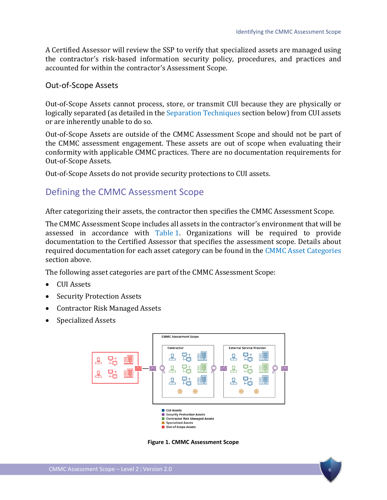A Certified Assessor will review the SSP to verify that specialized assets are managed using the contractor's risk-based information security policy, procedures, and practices and accounted for within the contractor's Assessment Scope.

#### Out-of-Scope Assets

Out-of-Scope Assets cannot process, store, or transmit CUI because they are physically or logically separated (as detailed in th[e Separation Techniques](#page-8-0) section below) from CUI assets or are inherently unable to do so.

Out-of-Scope Assets are outside of the CMMC Assessment Scope and should not be part of the CMMC assessment engagement. These assets are out of scope when evaluating their conformity with applicable CMMC practices. There are no documentation requirements for Out-of-Scope Assets.

Out-of-Scope Assets do not provide security protections to CUI assets.

### Defining the CMMC Assessment Scope

After categorizing their assets, the contractor then specifies the CMMC Assessment Scope.

The CMMC Assessment Scope includes all assets in the contractor's environment that will be assessed in accordance with [Table 1.](#page-3-0) Organizations will be required to provide documentation to the Certified Assessor that specifies the assessment scope. Details about required documentation for each asset category can be found in the [CMMC Asset Categories](#page-2-0) section above.

The following asset categories are part of the CMMC Assessment Scope:

- CUI Assets
- Security Protection Assets
- Contractor Risk Managed Assets
- Specialized Assets



**Figure 1. CMMC Assessment Scope**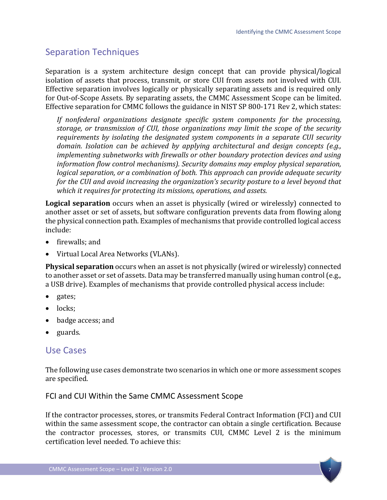# <span id="page-8-0"></span>Separation Techniques

Separation is a system architecture design concept that can provide physical/logical isolation of assets that process, transmit, or store CUI from assets not involved with CUI. Effective separation involves logically or physically separating assets and is required only for Out-of-Scope Assets. By separating assets, the CMMC Assessment Scope can be limited. Effective separation for CMMC follows the guidance in NIST SP 800-171 Rev 2, which states:

*If nonfederal organizations designate specific system components for the processing, storage, or transmission of CUI, those organizations may limit the scope of the security requirements by isolating the designated system components in a separate CUI security domain. Isolation can be achieved by applying architectural and design concepts (e.g., implementing subnetworks with firewalls or other boundary protection devices and using information flow control mechanisms). Security domains may employ physical separation, logical separation, or a combination of both. This approach can provide adequate security for the CUI and avoid increasing the organization's security posture to a level beyond that which it requires for protecting its missions, operations, and assets.*

**Logical separation** occurs when an asset is physically (wired or wirelessly) connected to another asset or set of assets, but software configuration prevents data from flowing along the physical connection path. Examples of mechanisms that provide controlled logical access include:

- firewalls; and
- Virtual Local Area Networks (VLANs).

**Physical separation** occurs when an asset is not physically (wired or wirelessly) connected to another asset or set of assets. Data may be transferred manually using human control (e.g., a USB drive). Examples of mechanisms that provide controlled physical access include:

- gates;
- locks:
- badge access; and
- guards.

### Use Cases

The following use cases demonstrate two scenarios in which one or more assessment scopes are specified.

#### FCI and CUI Within the Same CMMC Assessment Scope

If the contractor processes, stores, or transmits Federal Contract Information (FCI) and CUI within the same assessment scope, the contractor can obtain a single certification. Because the contractor processes, stores, or transmits CUI, CMMC Level 2 is the minimum certification level needed. To achieve this: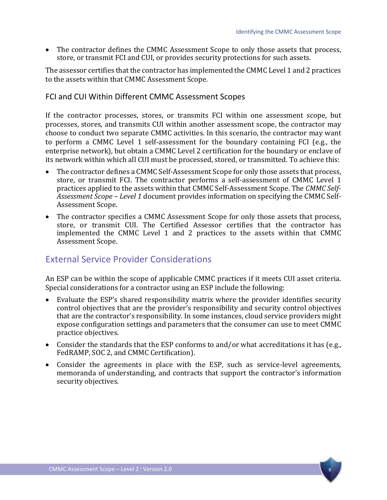• The contractor defines the CMMC Assessment Scope to only those assets that process, store, or transmit FCI and CUI, or provides security protections for such assets.

The assessor certifies that the contractor has implemented the CMMC Level 1 and 2 practices to the assets within that CMMC Assessment Scope.

#### FCI and CUI Within Different CMMC Assessment Scopes

If the contractor processes, stores, or transmits FCI within one assessment scope, but processes, stores, and transmits CUI within another assessment scope, the contractor may choose to conduct two separate CMMC activities. In this scenario, the contractor may want to perform a CMMC Level 1 self-assessment for the boundary containing FCI (e.g., the enterprise network), but obtain a CMMC Level 2 certification for the boundary or enclave of its network within which all CUI must be processed, stored, or transmitted. To achieve this:

- The contractor defines a CMMC Self-Assessment Scope for only those assets that process, store, or transmit FCI. The contractor performs a self-assessment of CMMC Level 1 practices applied to the assets within that CMMC Self-Assessment Scope. The *CMMC Self-Assessment Scope – Level 1* document provides information on specifying the CMMC Self-Assessment Scope.
- The contractor specifies a CMMC Assessment Scope for only those assets that process, store, or transmit CUI. The Certified Assessor certifies that the contractor has implemented the CMMC Level 1 and 2 practices to the assets within that CMMC Assessment Scope.

# External Service Provider Considerations

An ESP can be within the scope of applicable CMMC practices if it meets CUI asset criteria. Special considerations for a contractor using an ESP include the following:

- Evaluate the ESP's shared responsibility matrix where the provider identifies security control objectives that are the provider's responsibility and security control objectives that are the contractor's responsibility. In some instances, cloud service providers might expose configuration settings and parameters that the consumer can use to meet CMMC practice objectives.
- Consider the standards that the ESP conforms to and/or what accreditations it has (e.g., FedRAMP, SOC 2, and CMMC Certification).
- Consider the agreements in place with the ESP, such as service-level agreements, memoranda of understanding, and contracts that support the contractor's information security objectives.